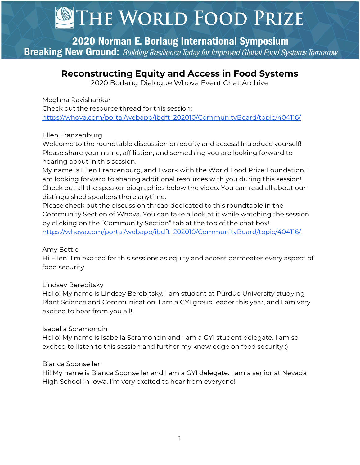2020 Norman E. Borlaug International Symposium **Breaking New Ground:** Building Resilience Today for Improved Global Food Systems Tomorrow

# **Reconstructing Equity and Access in Food Systems**

2020 Borlaug Dialogue Whova Event Chat Archive

#### Meghna Ravishankar

Check out the resource thread for this session: [https://whova.com/portal/webapp/ibdft\\_202010/CommunityBoard/topic/404116/](https://whova.com/portal/webapp/ibdft_202010/CommunityBoard/topic/404116/)

## Ellen Franzenburg

Welcome to the roundtable discussion on equity and access! Introduce yourself! Please share your name, affiliation, and something you are looking forward to hearing about in this session.

My name is Ellen Franzenburg, and I work with the World Food Prize Foundation. I am looking forward to sharing additional resources with you during this session! Check out all the speaker biographies below the video. You can read all about our distinguished speakers there anytime.

Please check out the discussion thread dedicated to this roundtable in the Community Section of Whova. You can take a look at it while watching the session by clicking on the "Community Section" tab at the top of the chat box! [https://whova.com/portal/webapp/ibdft\\_202010/CommunityBoard/topic/404116/](https://whova.com/portal/webapp/ibdft_202010/CommunityBoard/topic/404116/)

## Amy Bettle

Hi Ellen! I'm excited for this sessions as equity and access permeates every aspect of food security.

## Lindsey Berebitsky

Hello! My name is Lindsey Berebitsky. I am student at Purdue University studying Plant Science and Communication. I am a GYI group leader this year, and I am very excited to hear from you all!

## Isabella Scramoncin

Hello! My name is Isabella Scramoncin and I am a GYI student delegate. I am so excited to listen to this session and further my knowledge on food security :)

## Bianca Sponseller

Hi! My name is Bianca Sponseller and I am a GYI delegate. I am a senior at Nevada High School in Iowa. I'm very excited to hear from everyone!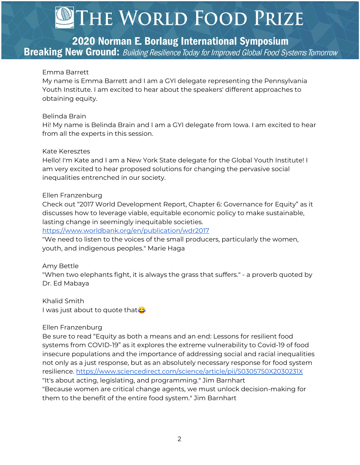2020 Norman E. Borlaug International Symposium **Breaking New Ground:** Building Resilience Today for Improved Global Food Systems Tomorrow

#### Emma Barrett

My name is Emma Barrett and I am a GYI delegate representing the Pennsylvania Youth Institute. I am excited to hear about the speakers' different approaches to obtaining equity.

#### Belinda Brain

Hi! My name is Belinda Brain and I am a GYI delegate from Iowa. I am excited to hear from all the experts in this session.

#### Kate Keresztes

Hello! I'm Kate and I am a New York State delegate for the Global Youth Institute! I am very excited to hear proposed solutions for changing the pervasive social inequalities entrenched in our society.

#### Ellen Franzenburg

Check out "2017 World Development Report, Chapter 6: Governance for Equity" as it discusses how to leverage viable, equitable economic policy to make sustainable, lasting change in seemingly inequitable societies.

<https://www.worldbank.org/en/publication/wdr2017>

"We need to listen to the voices of the small producers, particularly the women, youth, and indigenous peoples." Marie Haga

#### Amy Bettle

"When two elephants fight, it is always the grass that suffers." - a proverb quoted by Dr. Ed Mabaya

Khalid Smith I was just about to quote that

#### Ellen Franzenburg

Be sure to read "Equity as both a means and an end: Lessons for resilient food systems from COVID-19" as it explores the extreme vulnerability to Covid-19 of food insecure populations and the importance of addressing social and racial inequalities not only as a just response, but as an absolutely necessary response for food system resilience. <https://www.sciencedirect.com/science/article/pii/S0305750X2030231X> "It's about acting, legislating, and programming." Jim Barnhart "Because women are critical change agents, we must unlock decision-making for them to the benefit of the entire food system." Jim Barnhart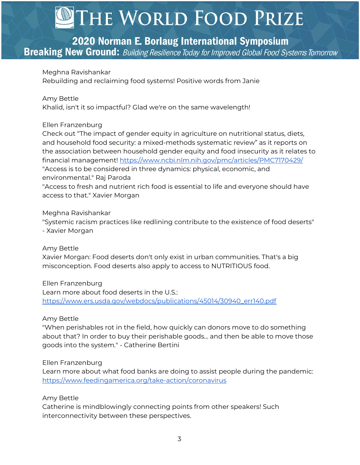## 2020 Norman E. Borlaug International Symposium

**Breaking New Ground:** Building Resilience Today for Improved Global Food Systems Tomorrow

#### Meghna Ravishankar

Rebuilding and reclaiming food systems! Positive words from Janie

#### Amy Bettle

Khalid, isn't it so impactful? Glad we're on the same wavelength!

#### Ellen Franzenburg

Check out "The impact of gender equity in agriculture on nutritional status, diets, and household food security: a mixed-methods systematic review" as it reports on the association between household gender equity and food insecurity as it relates to financial management! <https://www.ncbi.nlm.nih.gov/pmc/articles/PMC7170429/> "Access is to be considered in three dynamics: physical, economic, and environmental." Raj Paroda "Access to fresh and nutrient rich food is essential to life and everyone should have access to that." Xavier Morgan

#### Meghna Ravishankar

"Systemic racism practices like redlining contribute to the existence of food deserts" - Xavier Morgan

#### Amy Bettle

Xavier Morgan: Food deserts don't only exist in urban communities. That's a big misconception. Food deserts also apply to access to NUTRITIOUS food.

Ellen Franzenburg Learn more about food deserts in the U.S.: [https://www.ers.usda.gov/webdocs/publications/45014/30940\\_err140.pdf](https://www.ers.usda.gov/webdocs/publications/45014/30940_err140.pdf)

#### Amy Bettle

"When perishables rot in the field, how quickly can donors move to do something about that? In order to buy their perishable goods... and then be able to move those goods into the system." - Catherine Bertini

#### Ellen Franzenburg

Learn more about what food banks are doing to assist people during the pandemic: <https://www.feedingamerica.org/take-action/coronavirus>

#### Amy Bettle

Catherine is mindblowingly connecting points from other speakers! Such interconnectivity between these perspectives.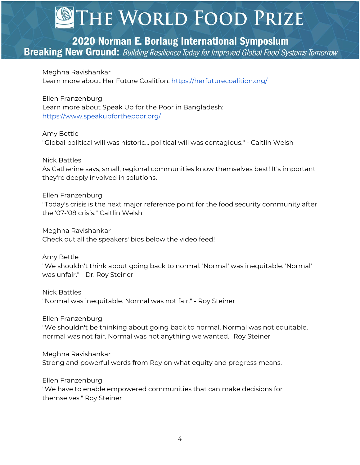# 2020 Norman E. Borlaug International Symposium

**Breaking New Ground:** Building Resilience Today for Improved Global Food Systems Tomorrow

Meghna Ravishankar Learn more about Her Future Coalition: <https://herfuturecoalition.org/>

Ellen Franzenburg Learn more about Speak Up for the Poor in Bangladesh: <https://www.speakupforthepoor.org/>

Amy Bettle "Global political will was historic... political will was contagious." - Caitlin Welsh

Nick Battles As Catherine says, small, regional communities know themselves best! It's important they're deeply involved in solutions.

Ellen Franzenburg "Today's crisis is the next major reference point for the food security community after the '07-'08 crisis." Caitlin Welsh

Meghna Ravishankar Check out all the speakers' bios below the video feed!

Amy Bettle "We shouldn't think about going back to normal. 'Normal' was inequitable. 'Normal' was unfair." - Dr. Roy Steiner

Nick Battles "Normal was inequitable. Normal was not fair." - Roy Steiner

Ellen Franzenburg "We shouldn't be thinking about going back to normal. Normal was not equitable, normal was not fair. Normal was not anything we wanted." Roy Steiner

Meghna Ravishankar Strong and powerful words from Roy on what equity and progress means.

Ellen Franzenburg "We have to enable empowered communities that can make decisions for themselves." Roy Steiner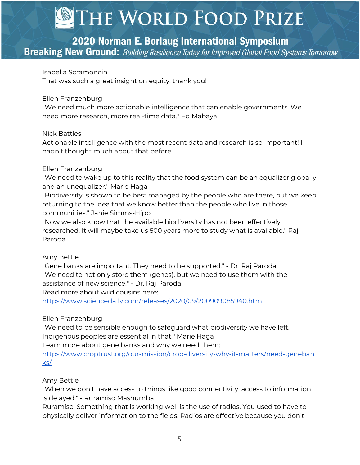# 2020 Norman E. Borlaug International Symposium

**Breaking New Ground:** Building Resilience Today for Improved Global Food Systems Tomorrow

Isabella Scramoncin

That was such a great insight on equity, thank you!

#### Ellen Franzenburg

"We need much more actionable intelligence that can enable governments. We need more research, more real-time data." Ed Mabaya

#### Nick Battles

Actionable intelligence with the most recent data and research is so important! I hadn't thought much about that before.

#### Ellen Franzenburg

"We need to wake up to this reality that the food system can be an equalizer globally and an unequalizer." Marie Haga

"Biodiversity is shown to be best managed by the people who are there, but we keep returning to the idea that we know better than the people who live in those communities." Janie Simms-Hipp

"Now we also know that the available biodiversity has not been effectively researched. It will maybe take us 500 years more to study what is available." Raj Paroda

## Amy Bettle

"Gene banks are important. They need to be supported." - Dr. Raj Paroda "We need to not only store them (genes), but we need to use them with the assistance of new science." - Dr. Raj Paroda

Read more about wild cousins here:

<https://www.sciencedaily.com/releases/2020/09/200909085940.htm>

## Ellen Franzenburg

"We need to be sensible enough to safeguard what biodiversity we have left. Indigenous peoples are essential in that." Marie Haga

Learn more about gene banks and why we need them:

[https://www.croptrust.org/our-mission/crop-diversity-why-it-matters/need-geneban](https://www.croptrust.org/our-mission/crop-diversity-why-it-matters/need-genebanks/) [ks/](https://www.croptrust.org/our-mission/crop-diversity-why-it-matters/need-genebanks/)

## Amy Bettle

"When we don't have access to things like good connectivity, access to information is delayed." - Ruramiso Mashumba

Ruramiso: Something that is working well is the use of radios. You used to have to physically deliver information to the fields. Radios are effective because you don't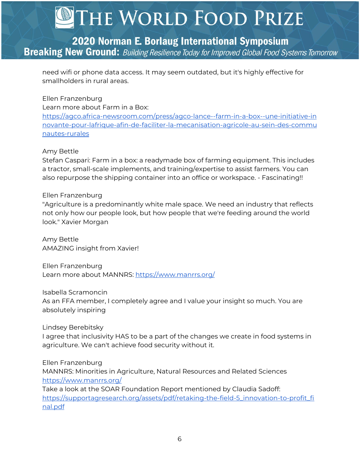# 2020 Norman E. Borlaug International Symposium **Breaking New Ground:** Building Resilience Today for Improved Global Food Systems Tomorrow

need wifi or phone data access. It may seem outdated, but it's highly effective for smallholders in rural areas.

## Ellen Franzenburg

Learn more about Farm in a Box:

[https://agco.africa-newsroom.com/press/agco-lance--farm-in-a-box--une-initiative-in](https://agco.africa-newsroom.com/press/agco-lance--farm-in-a-box--une-initiative-innovante-pour-lafrique-afin-de-faciliter-la-mecanisation-agricole-au-sein-des-communautes-rurales) [novante-pour-lafrique-afin-de-faciliter-la-mecanisation-agricole-au-sein-des-commu](https://agco.africa-newsroom.com/press/agco-lance--farm-in-a-box--une-initiative-innovante-pour-lafrique-afin-de-faciliter-la-mecanisation-agricole-au-sein-des-communautes-rurales) [nautes-rurales](https://agco.africa-newsroom.com/press/agco-lance--farm-in-a-box--une-initiative-innovante-pour-lafrique-afin-de-faciliter-la-mecanisation-agricole-au-sein-des-communautes-rurales)

## Amy Bettle

Stefan Caspari: Farm in a box: a readymade box of farming equipment. This includes a tractor, small-scale implements, and training/expertise to assist farmers. You can also repurpose the shipping container into an office or workspace. - Fascinating!!

#### Ellen Franzenburg

"Agriculture is a predominantly white male space. We need an industry that reflects not only how our people look, but how people that we're feeding around the world look." Xavier Morgan

Amy Bettle AMAZING insight from Xavier!

Ellen Franzenburg Learn more about MANNRS: <https://www.manrrs.org/>

Isabella Scramoncin As an FFA member, I completely agree and I value your insight so much. You are absolutely inspiring

Lindsey Berebitsky

I agree that inclusivity HAS to be a part of the changes we create in food systems in agriculture. We can't achieve food security without it.

Ellen Franzenburg MANNRS: Minorities in Agriculture, Natural Resources and Related Sciences

<https://www.manrrs.org/>

Take a look at the SOAR Foundation Report mentioned by Claudia Sadoff: [https://supportagresearch.org/assets/pdf/retaking-the-field-5\\_innovation-to-profit\\_fi](https://supportagresearch.org/assets/pdf/retaking-the-field-5_innovation-to-profit_final.pdf) [nal.pdf](https://supportagresearch.org/assets/pdf/retaking-the-field-5_innovation-to-profit_final.pdf)